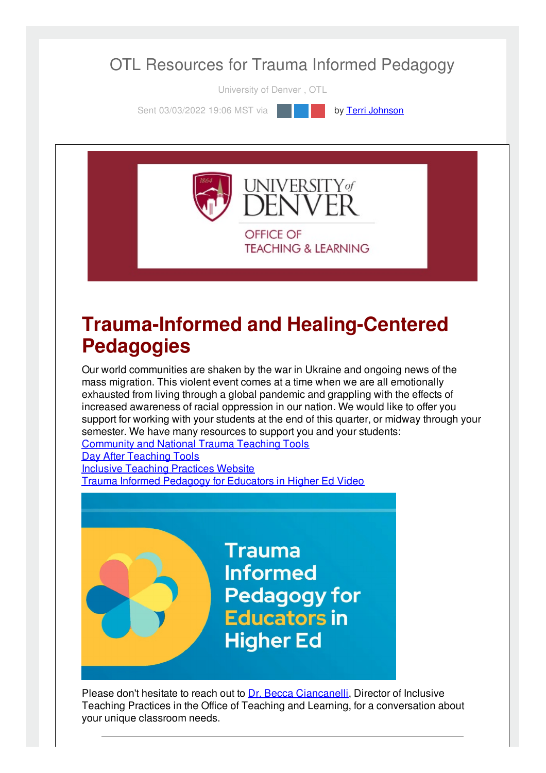

University of Denver , OTL

Sent 03/03/2022 19:06 MST via **by Terri [Johnson](file:///networks/du/users/1149646)** 



### **Trauma-Informed and Healing-Centered Pedagogies**

Our world communities are shaken by the war in Ukraine and ongoing news of the mass migration. This violent event comes at a time when we are all emotionally exhausted from living through a global pandemic and grappling with the effects of increased awareness of racial oppression in our nation. We would like to offer you support for working with your students at the end of this quarter, or midway through your semester. We have many resources to support you and your students: [Community](https://otl.du.edu/types-of-trauma-teaching-tools/) and National Trauma Teaching Tools

Day After [Teaching](https://inclusive-teaching.du.edu/content/day-after-tools) Tools Inclusive [Teaching](https://operations.du.edu/inclusive-teaching) Practices Website Trauma Informed [Pedagogy](https://mediaspace.du.edu/media/Trauma+Informed+Pedagogy/1_guvgeqgl) for Educators in Higher Ed Video

> **Trauma Informed Pedagogy for Educators in Higher Ed**

Please don't hesitate to reach out to Dr. Becca [Ciancanelli](mailto:Becca.Ciancanelli@du.edu), Director of Inclusive Teaching Practices in the Office of Teaching and Learning, for a conversation about your unique classroom needs.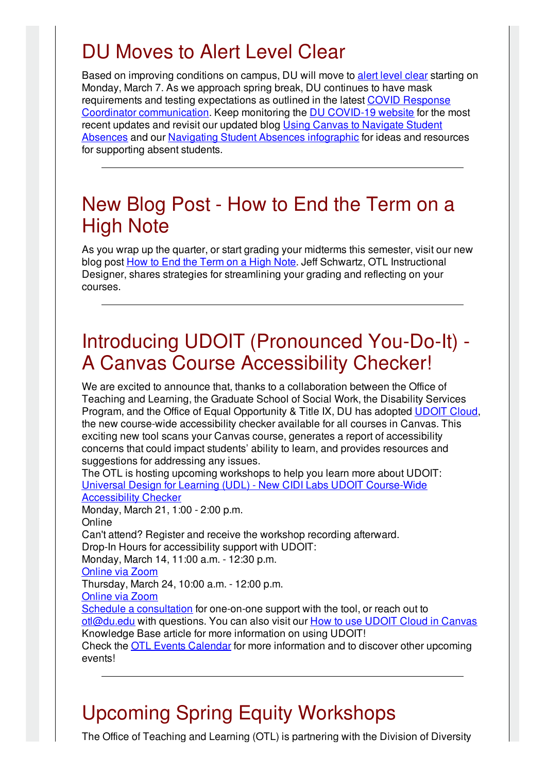# DU Moves to Alert Level Clear

Based on improving conditions on campus, DU will move to alert [level](https://www.du.edu/coronavirus/health-wellness/alert-levels) clear starting on Monday, March 7. As we approach spring break, DU continues to have mask requirements and testing expectations as outlined in the latest COVID Response Coordinator [communication.](https://www.du.edu/coronavirus/communications) Keep monitoring the DU [COVID-19](https://www.du.edu/coronavirus) website for the most recent updates and revisit our updated blog Using Canvas to Navigate Student Absences and our Navigating Student Absences [infographic](https://otl.du.edu/update-using-canvas-to-navigate-student-absences/) for ideas and resources for supporting absent students.

### New Blog Post - How to End the Term on a High Note

As you wrap up the quarter, or start grading your midterms this semester, visit our new blog post How to End the [Term](https://otl.du.edu/how-to-end-the-term-on-a-high-note/) on a High Note. Jeff Schwartz, OTL Instructional Designer, shares strategies for streamlining your grading and reflecting on your courses.

# Introducing UDOIT (Pronounced You-Do-It) - A Canvas Course Accessibility Checker!

We are excited to announce that, thanks to a collaboration between the Office of Teaching and Learning, the Graduate School of Social Work, the Disability Services Program, and the Office of Equal Opportunity & Title IX, DU has adopted [UDOIT](https://otl.du.edu/knowledgebase/what-is-udoit-cloud/) Cloud, the new course-wide accessibility checker available for all courses in Canvas. This exciting new tool scans your Canvas course, generates a report of accessibility concerns that could impact students' ability to learn, and provides resources and suggestions for addressing any issues.

The OTL is hosting upcoming workshops to help you learn more about UDOIT: Universal Design for Learning (UDL) - New CIDI Labs UDOIT [Course-Wide](https://otl-events.du.edu/public/registration/5732) Accessibility Checker

Monday, March 21, 1:00 - 2:00 p.m. Online Can't attend? Register and receive the workshop recording afterward. Drop-In Hours for accessibility support with UDOIT: Monday, March 14, 11:00 a.m. - 12:30 p.m. [Online](https://udenver.zoom.us/j/9265424068) via Zoom Thursday, March 24, 10:00 a.m. - 12:00 p.m. [Online](https://udenver.zoom.us/j/9265424068) via Zoom Schedule a [consultation](https://isarsgrid.du.edu/eSARS/OTL/eSARS.asp?WCI=Init&WCE=Settings) for one-on-one support with the tool, or reach out to [otl@du.edu](mailto:otl@du.edu) with questions. You can also visit our How to use UDOIT Cloud in [Canvas](https://otl.du.edu/knowledgebase/how-to-use-udoit-cloud-in-canvas/) Knowledge Base article for more information on using UDOIT! Check the OTL Events [Calendar](https://otl-events.du.edu/public/calendar) for more information and to discover other upcoming events!

# Upcoming Spring Equity Workshops

The Office of Teaching and Learning (OTL) is partnering with the Division of Diversity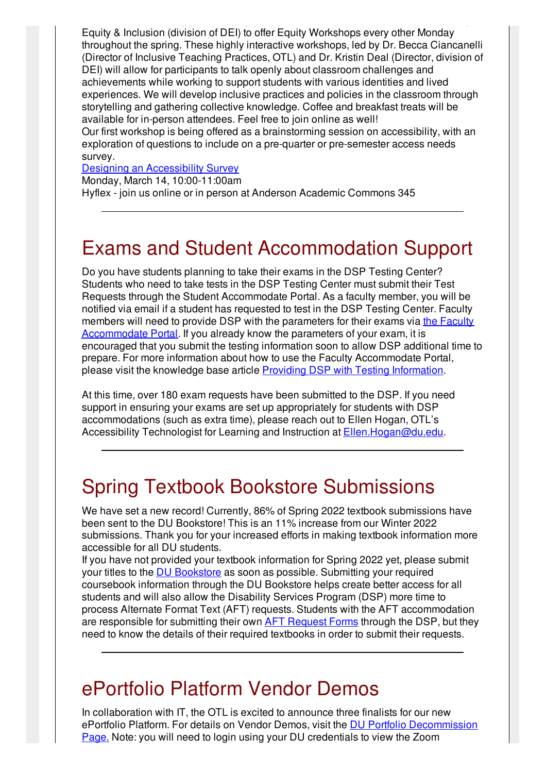Equity & Inclusion (division of DEI) to offer Equity Workshops every other Monday throughout the spring. These highly interactive workshops, led by Dr. Becca Ciancanelli (Director of Inclusive Teaching Practices, OTL) and Dr. Kristin Deal (Director, division of DEI) will allow for participants to talk openly about classroom challenges and achievements while working to support students with various identities and lived experiences. We will develop inclusive practices and policies in the classroom through storytelling and gathering collective knowledge. Coffee and breakfast treats will be available for in-person attendees. Feel free to join online as well!

The Office of Teaching and Learning  $\Gamma$  is partnering with the Division of Division of Division of Division of Division of Division of Division of Division of Division of Division of Division of Division of Division of D

Our first workshop is being offered as a brainstorming session on accessibility, with an exploration of questions to include on a pre-quarter or pre-semester access needs survey.

#### Designing an [Accessibility](https://otl-events.du.edu/public/registration/5753) Survey

Monday, March 14, 10:00-11:00am

Hyflex - join us online or in person at Anderson Academic Commons 345

### Exams and Student Accommodation Support

Do you have students planning to take their exams in the DSP Testing Center? Students who need to take tests in the DSP Testing Center must submit their Test Requests through the Student Accommodate Portal. As a faculty member, you will be notified via email if a student has requested to test in the DSP Testing Center. Faculty members will need to provide DSP with the parameters for their exams via the Faculty [Accommodate](http://du-accommodate.symplicity.com/) Portal. If you already know the parameters of your exam, it is encouraged that you submit the testing information soon to allow DSP additional time to prepare. For more information about how to use the Faculty Accommodate Portal, please visit the knowledge base article Providing DSP with Testing [Information](https://otl.du.edu/knowledgebase/providing-dsp-testing-information/).

At this time, over 180 exam requests have been submitted to the DSP. If you need support in ensuring your exams are set up appropriately for students with DSP accommodations (such as extra time), please reach out to Ellen Hogan, OTL's Accessibility Technologist for Learning and Instruction at [Ellen.Hogan@du.edu](mailto:Ellen.Hogan@du.edu).

# Spring Textbook Bookstore Submissions

We have set a new record! Currently, 86% of Spring 2022 textbook submissions have been sent to the DU Bookstore! This is an 11% increase from our Winter 2022 submissions. Thank you for your increased efforts in making textbook information more accessible for all DU students.

If you have not provided your textbook information for Spring 2022 yet, please submit your titles to the DU [Bookstore](https://urldefense.com/v3/__https:/www.bkstr.com/denverstore/home?kw=du*20bookstore&AdCampaign=EFOL_1282_Bookstore_Search_NonBrnd_University*20of*20Denver_Exact_RLSA&Adgroup=Bookstore&Source=AdWords&gclick=Cj0KCQjw8eOLBhC1ARIsAOzx5cExe6aCrCb4tYHYrL95aRcJNqBpfwKOSHV-IKjHxrLwWBGG3Vs5xXYaAoQYEALw_wcB&cm_mmc=RisePaidSearch-_-Bookstore_RLSA-_-Google-_-1282&gclid=Cj0KCQjw8eOLBhC1ARIsAOzx5cExe6aCrCb4tYHYrL95aRcJNqBpfwKOSHV-IKjHxrLwWBGG3Vs5xXYaAoQYEALw_wcB&gclsrc=aw.ds__;JSUl!!NCZxaNi9jForCP_SxBKJCA!HhlpL9MUNvebrM79D4FuWBsCuwxRMDfVzPRkhNsz_WcyDNQm74cQInOZLU-i2x7Z$) as soon as possible. Submitting your required coursebook information through the DU Bookstore helps create better access for all students and will also allow the Disability Services Program (DSP) more time to process Alternate Format Text (AFT) requests. Students with the AFT accommodation are responsible for submitting their own **AFT [Request](https://www.du.edu/studentlife/disability-services/books.html) Forms** through the DSP, but they need to know the details of their required textbooks in order to submit their requests.

### ePortfolio Platform Vendor Demos

In collaboration with IT, the OTL is excited to announce three finalists for our new ePortfolio Platform. For details on Vendor Demos, visit the DU Portfolio [Decommission](http://portfolio.du.edu/duportfoliodecom) Page[.](http://portfolio.du.edu/duportfoliodecom) Note: you will need to login using your DU credentials to view the Zoom